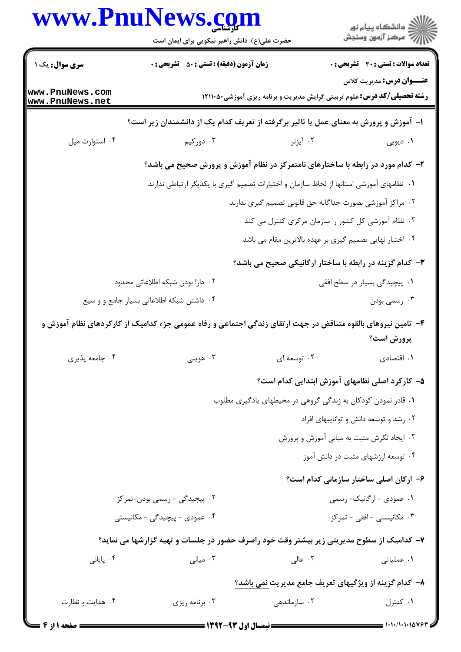|                                    | www.PnuNews.com<br>حضرت علی(ع): دانش راهبر نیکویی برای ایمان است                                             |                                                                                 | الا دانشگاه پيام نور<br>الا مرکز آزمون وسنجش   |
|------------------------------------|--------------------------------------------------------------------------------------------------------------|---------------------------------------------------------------------------------|------------------------------------------------|
| <b>سری سوال :</b> یک ۱             | <b>زمان آزمون (دقیقه) : تستی : 50 ٪ تشریحی : 0</b>                                                           |                                                                                 | <b>تعداد سوالات : تستی : 30 ٪ تشریحی : 0</b>   |
| www.PnuNews.com<br>www.PnuNews.net |                                                                                                              | <b>رشته تحصیلی/کد درس:</b> علوم تربیتی گرایش مدیریت و برنامه ریزی آموزشی۲۱۱۱۰۵۰ | <b>عنـــوان درس:</b> مدیریت کلاس               |
|                                    | ا– آموزش و پرورش به معنای عمل یا تاثیر برگرفته از تعریف کدام یک از دانشمندان زیر است؟                        |                                                                                 |                                                |
| ۰۴ استوارت میل                     | ۰۳ دورکیم                                                                                                    | ۰۲ آیزنر                                                                        | ۰۱ دیویی                                       |
|                                    | ۲- کدام مورد در رابطه با ساختارهای نامتمرکز در نظام آموزش و پرورش صحیح می باشد؟                              |                                                                                 |                                                |
|                                    | ۰۱ نظامهای آموزشی استانها از لحاظ سازمان و اختیارات تصمیم گیری با یکدیگر ارتباطی ندارند                      |                                                                                 |                                                |
|                                    |                                                                                                              | ۰۲ مراکز آموزشی بصورت جداگانه حق قانونی تصمیم گیری ندارند                       |                                                |
|                                    |                                                                                                              | ۰۳ نظام آموزشی کل کشور را سازمان مرکزی کنترل می کند                             |                                                |
|                                    |                                                                                                              | ۰۴ اختیار نهایی تصمیم گیری بر عهده بالاترین مقام می باشد                        |                                                |
|                                    |                                                                                                              | <b>۳</b> - کدام گزینه در رابطه با ساختار ارگانیکی صحیح می باشد؟                 |                                                |
|                                    | ۰۲ دارا بودن شبکه اطلاعاتی محدود                                                                             |                                                                                 | ۰۱ پیچیدگی بسیار در سطح افقی                   |
|                                    | ۰۴ داشتن شبکه اطلاعاتی بسیار جامع و و سیع                                                                    |                                                                                 | ۰۳ رسمي بودن                                   |
|                                    | ۴- تامین نیروهای بالقوه متناقض در جهت ارتقای زندگی اجتماعی و رفاه عمومی جزء کدامیک از کارکردهای نظام آموزش و |                                                                                 |                                                |
|                                    |                                                                                                              |                                                                                 | پرورش است؟                                     |
| ۰۴ جامعه پذیری                     | هويتي $\cdot^{\mathsf{r}}$                                                                                   | ۰۲ توسعه ای                                                                     | ٠١. اقتصادى                                    |
|                                    |                                                                                                              |                                                                                 | ۵– کارکرد اصلی نظامهای آموزش ابتدایی کدام است؟ |
|                                    |                                                                                                              | ۰۱ قادر نمودن کودکان به زندگی گروهی در محیطهای یادگیری مطلوب                    |                                                |
|                                    |                                                                                                              |                                                                                 | ۰۲ رشد و توسعه دانش و تواناییهای افراد         |
|                                    |                                                                                                              |                                                                                 | ۰۳ ایجاد نگرش مثبت به مبانی آموزش و پرورش      |
|                                    |                                                                                                              |                                                                                 | ۰۴ توسعه ارزشهای مثبت در دانش آموز             |
|                                    |                                                                                                              |                                                                                 | ۶– ارکان اصلی ساختار سازمانی کدام است؟         |
|                                    | ۰۲ پیچیدگی - رسمی بودن-تمرکز                                                                                 |                                                                                 | ۰۱ عمودی - ارگانیک- رسمی                       |
|                                    | ۰۴ عمودی - پیچیدگی - مکانیستی                                                                                |                                                                                 | ۰۳ مکانیستی - افقی - تمرکز                     |
|                                    | ۷– کدامیک از سطوح مدیریتی زیر بیشتر وقت خود راصرف حضور در جلسات و تهیه گزارشها می نماید؟                     |                                                                                 |                                                |
| ۰۴ پایانی                          | ۰۳ میانی $\cdot$                                                                                             | ۰۲ عالی                                                                         | ۰۱ عملیاتی                                     |
|                                    |                                                                                                              | ۸– کدام گزینه از ویژگیهای تعریف جامع مدیریت نمی باشد؟                           |                                                |
| ۰۴ هدایت و نظارت                   | ۰۳ برنامه ریزی                                                                                               | ۰۲ سازماندهی                                                                    | ۰۱ کنترل                                       |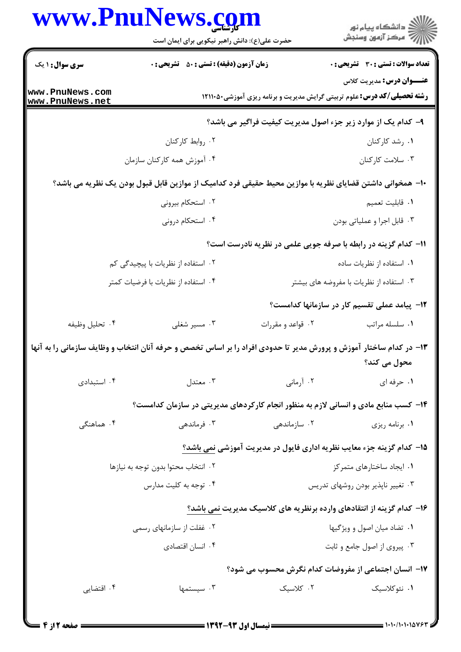|                                    | www.PnuNews.com                                                                                                    |                   | الا دانشگاه پيام نور<br>ا                                                                                           |
|------------------------------------|--------------------------------------------------------------------------------------------------------------------|-------------------|---------------------------------------------------------------------------------------------------------------------|
|                                    | حضرت علی(ع): دانش راهبر نیکویی برای ایمان است                                                                      |                   |                                                                                                                     |
| <b>سری سوال : ۱ یک</b>             | زمان آزمون (دقیقه) : تستی : ۵۰٪ تشریحی : ۰                                                                         |                   | <b>تعداد سوالات : تستی : 30 ٪ تشریحی : 0</b>                                                                        |
| www.PnuNews.com<br>www.PnuNews.net |                                                                                                                    |                   | <b>عنـــوان درس:</b> مدیریت کلاس<br><b>رشته تحصیلی/کد درس:</b> علوم تربیتی گرایش مدیریت و برنامه ریزی آموزشی۱۲۱۱۰۵۰ |
|                                    |                                                                                                                    |                   | ۹- کدام یک از موارد زیر جزء اصول مدیریت کیفیت فراگیر می باشد؟                                                       |
|                                    | ٠٢ روابط كاركنان                                                                                                   |                   | ۰۱ رشد کارکنان                                                                                                      |
|                                    | ۰۴ آموزش همه کارکنان سازمان                                                                                        |                   | ۰۳ سلامت کارکنان                                                                                                    |
|                                    | ∙ا− همخوانی داشتن قضایای نظریه با موازین محیط حقیقی فرد کدامیک از موازین قابل قبول بودن یک نظریه می باشد؟          |                   |                                                                                                                     |
|                                    | ۰۲ استحکام بیرونی                                                                                                  |                   | ٠١. قابليت تعميم                                                                                                    |
|                                    | ۰۴ استحکام درونی                                                                                                   |                   | ۰۳ قابل اجرا و عملیاتی بودن                                                                                         |
|                                    |                                                                                                                    |                   | 11- کدام گزینه در رابطه با صرفه جویی علمی در نظریه نادرست است؟                                                      |
|                                    | ۰۲ استفاده از نظریات با پیچیدگی کم                                                                                 |                   | ۰۱ استفاده از نظریات ساده                                                                                           |
|                                    | ۰۴ استفاده از نظریات با فرضیات کمتر                                                                                |                   | ۰۳ استفاده از نظریات با مفروضه های بیشتر                                                                            |
|                                    |                                                                                                                    |                   | ۱۲- پیامد عملی تقسیم کار در سازمانها کدامست؟                                                                        |
| ۰۴ تحليل وظيفه                     | ۰۳ مسیر شغلی                                                                                                       | ۰۲ قواعد و مقررات | ٠١ سلسله مراتب                                                                                                      |
|                                    | ۱۳- در کدام ساختار آموزش و پرورش مدیر تا حدودی افراد را بر اساس تخصص و حرفه آنان انتخاب و وظایف سازمانی را به آنها |                   | محول مي كند؟                                                                                                        |
| ۰۴ استبدادی                        | ۰۳ معتدل                                                                                                           | ۰۲ آرمانی         | ۰۱ حرفه ای                                                                                                          |
|                                    | ۱۴- کسب منابع مادی و انسانی لازم به منظور انجام کارکردهای مدیریتی در سازمان کدامست؟                                |                   |                                                                                                                     |
| ۰۴ هماهنگی                         | ۰۳ فرماندهی                                                                                                        | ۰۲ سازماندهی      | ۰۱ برنامه ریزی                                                                                                      |
|                                    |                                                                                                                    |                   | ۱۵– کدام گزینه جزء معایب نظریه اداری فایول در مدیریت آموزشی نمی باشد؟                                               |
|                                    | ٢. انتخاب محتوا بدون توجه به نيازها                                                                                |                   | ۰۱ ایجاد ساختارهای متمرکز                                                                                           |
|                                    | ۰۴ توجه به کلیت مدارس                                                                                              |                   | ۰۳ تغییر ناپذیر بودن روشهای تدریس                                                                                   |
|                                    |                                                                                                                    |                   | ۱۶– کدام گزینه از انتقادهای وارده برنظریه های کلاسیک مدیریت نمی باشد؟                                               |
|                                    | ۰۲ غفلت از سازمانهای رسمی                                                                                          |                   | ۰۱ تضاد میان اصول و ویژگیها                                                                                         |
|                                    | ۰۴ انسان اقتصادی                                                                                                   |                   | ۰۳ پیروی از اصول جامع و ثابت                                                                                        |
|                                    |                                                                                                                    |                   | 17- إنسان احتمام بإن مفروضات كدام نكرش وحسوب و بشود؟                                                                |

ن اجتماعی از مفروضات کدام نگرش محسوب می شود؟ ۰۳ سیستمها<br>۰**۰** سیستمها ۰۱ نئوکلاسیک سیست ۲۰ کلاسیک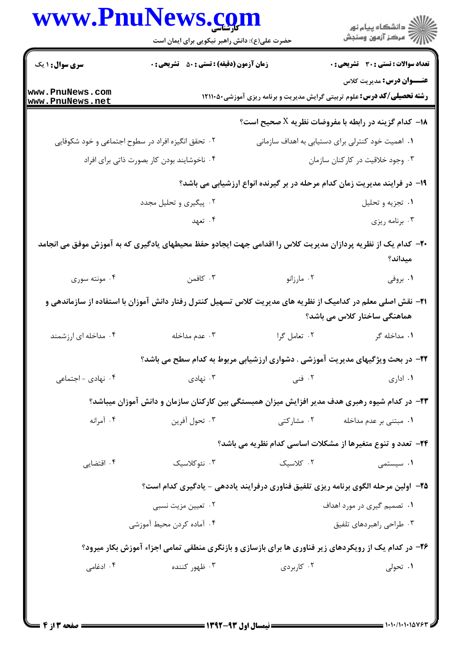|                                    | www.PnuNews.com                                                                                                      |                                                                                                                     | ر<br>دانشڪاه پيام نور)<br>اڳ مرڪز آزمون وسنڊش                                      |
|------------------------------------|----------------------------------------------------------------------------------------------------------------------|---------------------------------------------------------------------------------------------------------------------|------------------------------------------------------------------------------------|
|                                    | حضرت علی(ع): دانش راهبر نیکویی برای ایمان است                                                                        |                                                                                                                     |                                                                                    |
| <b>سری سوال :</b> ۱ یک             | <b>زمان آزمون (دقیقه) : تستی : 80 ٪ تشریحی : 0</b>                                                                   |                                                                                                                     | <b>تعداد سوالات : تستی : 30 ٪ تشریحی : 0</b>                                       |
| www.PnuNews.com<br>www.PnuNews.net |                                                                                                                      | <b>عنـــوان درس:</b> مدیریت کلاس<br><b>رشته تحصیلی/کد درس:</b> علوم تربیتی گرایش مدیریت و برنامه ریزی آموزشی۲۱۱۱۰۵۰ |                                                                                    |
|                                    |                                                                                                                      |                                                                                                                     | ا- کدام گزینه در رابطه با مفروضات نظریه $X$ صحیح است؟ $\bullet$                    |
|                                    | ۰۲ تحقق انگیزه افراد در سطوح اجتماعی و خود شکوفایی                                                                   |                                                                                                                     | ۰۱ اهمیت خود کنترلی برای دستیابی به اهداف سازمانی                                  |
|                                    | ۰۴ ناخوشایند بودن کار بصورت ذاتی برای افراد                                                                          |                                                                                                                     | ۰۳ وجود خلاقیت در کارکنان سازمان                                                   |
|                                    |                                                                                                                      |                                                                                                                     | ۱۹- در فرایند مدیریت زمان کدام مرحله در بر گیرنده انواع ارزشیابی می باشد؟          |
|                                    | ۰۲ پیگیری و تحلیل مجدد                                                                                               |                                                                                                                     | ۰۱ تجزیه و تحلیل                                                                   |
|                                    | ۰۴ تعهد                                                                                                              |                                                                                                                     | ۰۳ برنامه ريزي                                                                     |
|                                    | +۲- کدام یک از نظریه پردازان مدیریت کلاس را اقدامی جهت ایجادو حفظ محیطهای یادگیری که به آموزش موفق می انجامد         |                                                                                                                     | میداند؟                                                                            |
| ۰۴ مونته سوری                      | کافمن $\cdot$ ۳                                                                                                      | ۰۲ مارزانو                                                                                                          | ۰۱ بروفی                                                                           |
|                                    | <b>۳۱</b> – نقش اصلی معلم در کدامیک از نظریه های مدیریت کلاس تسهیل کنترل رفتار دانش آموزان با استفاده از سازماندهی و |                                                                                                                     | هماهنگی ساختار کلاس می باشد؟                                                       |
| ۰۴ مداخله ای ارزشمند               | ۰۳ عدم مداخله                                                                                                        | ۰۲ تعامل گرا                                                                                                        | ۰۱ مداخله گر                                                                       |
|                                    |                                                                                                                      |                                                                                                                     | ۲۲- در بحث ویژگیهای مدیریت آموزشی . دشواری ارزشیابی مربوط به کدام سطح می باشد؟     |
| ۰۴ نهادی - اجتماعی                 | نهادی $\cdot$ ۳                                                                                                      | ۰۲ فنی                                                                                                              | ۰۱ اداری                                                                           |
|                                    | ۲۳– در کدام شیوه رهبری هدف مدیر افزایش میزان همبستگی بین کارکنان سازمان و دانش آموزان میباشد؟                        |                                                                                                                     |                                                                                    |
| ۰۴ آمرانه                          | ۰۳ تحول آفرين                                                                                                        | ۰۲ مشارکتی                                                                                                          | ۰۱ مبتنی بر عدم مداخله                                                             |
|                                    |                                                                                                                      |                                                                                                                     | <b>34- تعدد و تنوع متغیرها از مشکلات اساسی کدام نظریه می باشد؟</b>                 |
| ۰۴ اقتضایی                         | ۰۳ نئوکلاسیک                                                                                                         | ۰۲ کلاسیک                                                                                                           | ۰۱ سیستمی                                                                          |
|                                    |                                                                                                                      |                                                                                                                     | ۲۵– اولین مرحله الگوی برنامه ریزی تلفیق فناوری درفرایند یاددهی - یادگیری کدام است؟ |
|                                    | ۰۲ تعیین مزیت نسبی                                                                                                   |                                                                                                                     | ۰۱ تصمیم گیری در مورد اهداف                                                        |
|                                    | ۰۴ آماده کردن محیط آموزشی                                                                                            |                                                                                                                     | ۰۳ طراحي راهبردهاي تلفيق                                                           |
|                                    | ۲۶- در کدام یک از رویکردهای زیر فناوری ها برای بازسازی و بازنگری منطقی تمامی اجزاء آموزش بکار میرود؟                 |                                                                                                                     |                                                                                    |
|                                    |                                                                                                                      |                                                                                                                     |                                                                                    |